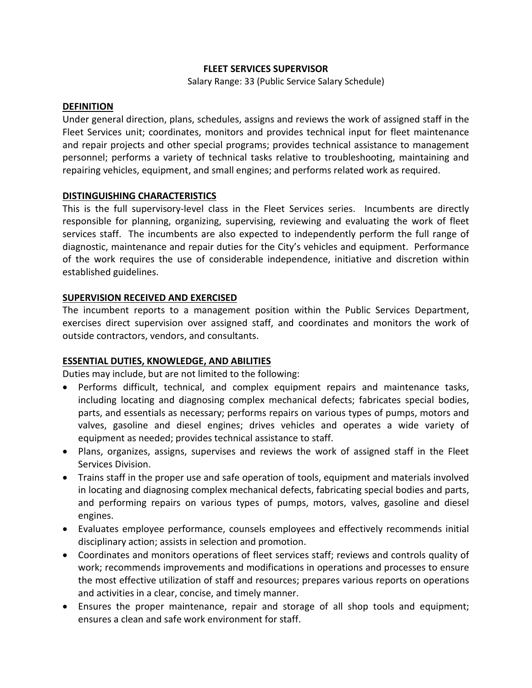#### **FLEET SERVICES SUPERVISOR**

Salary Range: 33 (Public Service Salary Schedule)

#### **DEFINITION**

Under general direction, plans, schedules, assigns and reviews the work of assigned staff in the Fleet Services unit; coordinates, monitors and provides technical input for fleet maintenance and repair projects and other special programs; provides technical assistance to management personnel; performs a variety of technical tasks relative to troubleshooting, maintaining and repairing vehicles, equipment, and small engines; and performs related work as required.

### **DISTINGUISHING CHARACTERISTICS**

This is the full supervisory-level class in the Fleet Services series. Incumbents are directly responsible for planning, organizing, supervising, reviewing and evaluating the work of fleet services staff. The incumbents are also expected to independently perform the full range of diagnostic, maintenance and repair duties for the City's vehicles and equipment. Performance of the work requires the use of considerable independence, initiative and discretion within established guidelines.

### **SUPERVISION RECEIVED AND EXERCISED**

The incumbent reports to a management position within the Public Services Department, exercises direct supervision over assigned staff, and coordinates and monitors the work of outside contractors, vendors, and consultants.

# **ESSENTIAL DUTIES, KNOWLEDGE, AND ABILITIES**

Duties may include, but are not limited to the following:

- Performs difficult, technical, and complex equipment repairs and maintenance tasks, including locating and diagnosing complex mechanical defects; fabricates special bodies, parts, and essentials as necessary; performs repairs on various types of pumps, motors and valves, gasoline and diesel engines; drives vehicles and operates a wide variety of equipment as needed; provides technical assistance to staff.
- Plans, organizes, assigns, supervises and reviews the work of assigned staff in the Fleet Services Division.
- Trains staff in the proper use and safe operation of tools, equipment and materials involved in locating and diagnosing complex mechanical defects, fabricating special bodies and parts, and performing repairs on various types of pumps, motors, valves, gasoline and diesel engines.
- Evaluates employee performance, counsels employees and effectively recommends initial disciplinary action; assists in selection and promotion.
- Coordinates and monitors operations of fleet services staff; reviews and controls quality of work; recommends improvements and modifications in operations and processes to ensure the most effective utilization of staff and resources; prepares various reports on operations and activities in a clear, concise, and timely manner.
- Ensures the proper maintenance, repair and storage of all shop tools and equipment; ensures a clean and safe work environment for staff.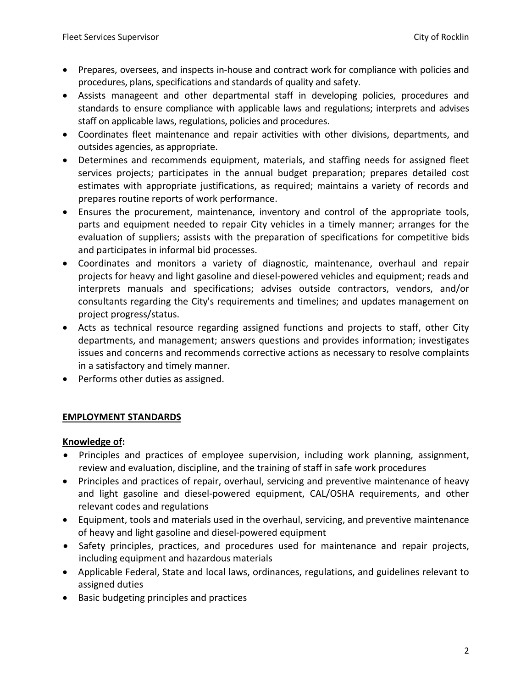- Prepares, oversees, and inspects in-house and contract work for compliance with policies and procedures, plans, specifications and standards of quality and safety.
- Assists manageent and other departmental staff in developing policies, procedures and standards to ensure compliance with applicable laws and regulations; interprets and advises staff on applicable laws, regulations, policies and procedures.
- Coordinates fleet maintenance and repair activities with other divisions, departments, and outsides agencies, as appropriate.
- Determines and recommends equipment, materials, and staffing needs for assigned fleet services projects; participates in the annual budget preparation; prepares detailed cost estimates with appropriate justifications, as required; maintains a variety of records and prepares routine reports of work performance.
- Ensures the procurement, maintenance, inventory and control of the appropriate tools, parts and equipment needed to repair City vehicles in a timely manner; arranges for the evaluation of suppliers; assists with the preparation of specifications for competitive bids and participates in informal bid processes.
- Coordinates and monitors a variety of diagnostic, maintenance, overhaul and repair projects for heavy and light gasoline and diesel-powered vehicles and equipment; reads and interprets manuals and specifications; advises outside contractors, vendors, and/or consultants regarding the City's requirements and timelines; and updates management on project progress/status.
- Acts as technical resource regarding assigned functions and projects to staff, other City departments, and management; answers questions and provides information; investigates issues and concerns and recommends corrective actions as necessary to resolve complaints in a satisfactory and timely manner.
- Performs other duties as assigned.

# **EMPLOYMENT STANDARDS**

### **Knowledge of:**

- Principles and practices of employee supervision, including work planning, assignment, review and evaluation, discipline, and the training of staff in safe work procedures
- Principles and practices of repair, overhaul, servicing and preventive maintenance of heavy and light gasoline and diesel-powered equipment, CAL/OSHA requirements, and other relevant codes and regulations
- Equipment, tools and materials used in the overhaul, servicing, and preventive maintenance of heavy and light gasoline and diesel-powered equipment
- Safety principles, practices, and procedures used for maintenance and repair projects, including equipment and hazardous materials
- Applicable Federal, State and local laws, ordinances, regulations, and guidelines relevant to assigned duties
- Basic budgeting principles and practices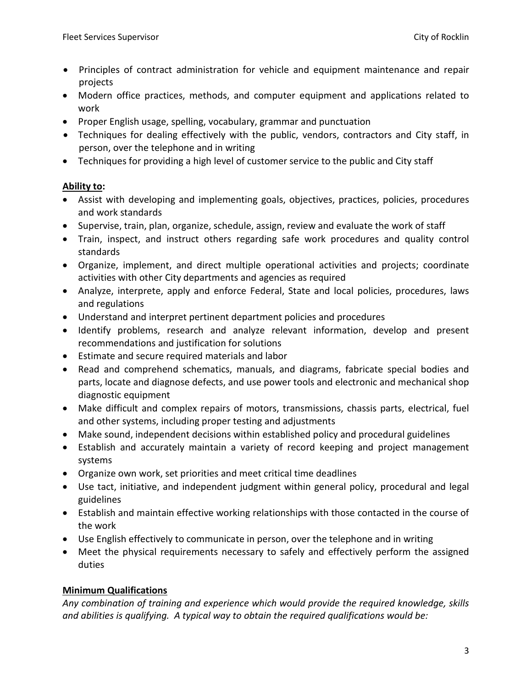- Principles of contract administration for vehicle and equipment maintenance and repair projects
- Modern office practices, methods, and computer equipment and applications related to work
- Proper English usage, spelling, vocabulary, grammar and punctuation
- Techniques for dealing effectively with the public, vendors, contractors and City staff, in person, over the telephone and in writing
- Techniques for providing a high level of customer service to the public and City staff

## **Ability to:**

- Assist with developing and implementing goals, objectives, practices, policies, procedures and work standards
- Supervise, train, plan, organize, schedule, assign, review and evaluate the work of staff
- Train, inspect, and instruct others regarding safe work procedures and quality control standards
- Organize, implement, and direct multiple operational activities and projects; coordinate activities with other City departments and agencies as required
- Analyze, interprete, apply and enforce Federal, State and local policies, procedures, laws and regulations
- Understand and interpret pertinent department policies and procedures
- Identify problems, research and analyze relevant information, develop and present recommendations and justification for solutions
- Estimate and secure required materials and labor
- Read and comprehend schematics, manuals, and diagrams, fabricate special bodies and parts, locate and diagnose defects, and use power tools and electronic and mechanical shop diagnostic equipment
- Make difficult and complex repairs of motors, transmissions, chassis parts, electrical, fuel and other systems, including proper testing and adjustments
- Make sound, independent decisions within established policy and procedural guidelines
- Establish and accurately maintain a variety of record keeping and project management systems
- Organize own work, set priorities and meet critical time deadlines
- Use tact, initiative, and independent judgment within general policy, procedural and legal guidelines
- Establish and maintain effective working relationships with those contacted in the course of the work
- Use English effectively to communicate in person, over the telephone and in writing
- Meet the physical requirements necessary to safely and effectively perform the assigned duties

# **Minimum Qualifications**

*Any combination of training and experience which would provide the required knowledge, skills and abilities is qualifying. A typical way to obtain the required qualifications would be:*